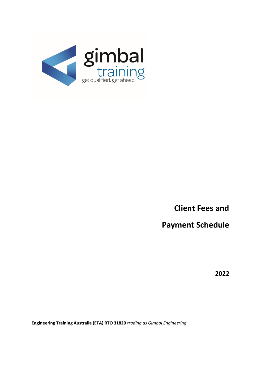

**Client Fees and**

**Payment Schedule**

**2022**

**Engineering Training Australia (ETA) RTO 31820** *trading as Gimbal Engineering*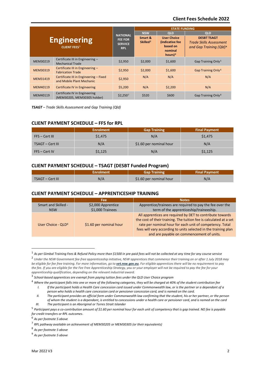## **Client Fees Schedule 2022**

| <b>Engineering</b><br><b>CLIENT FEES<sup>1</sup></b> |                                                                     | <b>NATIONAL</b><br><b>FEE FOR</b><br><b>SERVICE</b><br><b>RPL</b> | <b>STATE FUNDING</b>            |                                                                             |                                                                                             |
|------------------------------------------------------|---------------------------------------------------------------------|-------------------------------------------------------------------|---------------------------------|-----------------------------------------------------------------------------|---------------------------------------------------------------------------------------------|
|                                                      |                                                                     |                                                                   | <b>NSW</b>                      | QLD                                                                         | QLD                                                                                         |
|                                                      |                                                                     |                                                                   | Smart &<br>Skilled <sup>2</sup> | <b>User Choice</b><br>(indicative fee<br>based on<br>nominal<br>hours $)^3$ | <b>DESBT TSAGT</b><br><b>Trade Skills Assessment</b><br>and Gap Training (Qld) <sup>4</sup> |
| MEM30219                                             | Certificate III in Engineering -<br><b>Mechanical Trade</b>         | \$2,950                                                           | \$2,000                         | \$1,600                                                                     | Gap Training Only <sup>5</sup>                                                              |
| MEM30319                                             | Certificate III in Engineering -<br><b>Fabrication Trade</b>        | \$2,950                                                           | \$2,000                         | \$1,600                                                                     | Gap Training Only <sup>6</sup>                                                              |
| MEM31419                                             | Certificate III in Engineering - Fixed<br>and Mobile Plant Mechanic | \$2.950                                                           | N/A                             | N/A                                                                         | N/A                                                                                         |
| MEM40119                                             | Certificate IV in Engineering                                       | \$5,200                                                           | N/A                             | \$2,200                                                                     | N/A                                                                                         |
| MEM40119                                             | Certificate IV in Engineering<br>(MEM30205, MEM30305 holder)        | $$2,250^7$                                                        | \$520                           | \$600                                                                       | Gap Training Only <sup>8</sup>                                                              |

*TSAGT – Trade Skills Assessment and Gap Training (Qld)*

# **CLIENT PAYMENT SCHEDULE – FFS for RPL**

|                  | <b>Enrolment</b> | <b>Gap Training</b>     | <b>Final Payment</b> |
|------------------|------------------|-------------------------|----------------------|
| FFS – Cert III   | \$1,475          | N/A                     | \$1,475              |
| TSAGT - Cert III | N/A              | \$1.60 per nominal hour | N/A                  |
| $FFS - Cert IV$  | \$1,125          | N/A                     | \$1,125              |

# **CLIENT PAYMENT SCHEDULE – TSAGT (DESBT Funded Program)**

|                  | -nrolment | <b>Gap Training</b>     | <b>Final Payment</b> |
|------------------|-----------|-------------------------|----------------------|
| TSAGT - Cert III |           | \$1.60 per nominal hour |                      |

#### **CLIENT PAYMENT SCHEDULE – APPRENTICESHIP TRAINING**

|                                | Fee                     | <b>Notes</b>                                                                                                                                                                                                                                                                                                |  |
|--------------------------------|-------------------------|-------------------------------------------------------------------------------------------------------------------------------------------------------------------------------------------------------------------------------------------------------------------------------------------------------------|--|
| Smart and Skilled -            | \$2,000 Apprentice      | Apprentice/trainees are required to pay the fee over the                                                                                                                                                                                                                                                    |  |
| <b>NSW</b>                     | \$1,000 Trainees        | term of the apprenticeship/traineeship.                                                                                                                                                                                                                                                                     |  |
| User Choice - QLD <sup>9</sup> | \$1.60 per nominal hour | All apprentices are required by DET to contribute towards<br>the cost of their training. The tuition fee is calculated at a set<br>rate per nominal hour for each unit of competency. Total<br>fees will vary according to units selected in the training plan<br>and are payable on commencement of units. |  |

<span id="page-1-1"></span><sup>1</sup> *As per Gimbal Training Fees & Refund Policy more than \$1500 in pre-paid fees will not be collected at any time for any course service*

<span id="page-1-2"></span><sup>2</sup> *Under the NSW Government fee-free apprenticeship initiative, NSW apprentices that commence their training on or after 1 July 2018 may be eligible for fee free training. For more information, go to [vet.nsw.gov.au](https://vet.nsw.gov.au/choosing-vet/fee-free-apprenticeships). For eligible apprentices there will be no requirement to pay the fee. If you are eligible for the Fee Free Apprenticeship Strategy, you or your employer will not be required to pay the fee for your apprenticeship qualification, depending on the relevant industrial award.*

<span id="page-1-3"></span><sup>3</sup> *School-based apprentices are exempt from paying tuition fees under the QLD User Choice program*

<span id="page-1-4"></span><sup>4</sup> *Where the participant falls into one or more of the following categories, they will be charged at 40% of the student contribution fee I. If the participant holds a Health Care concession card issued under Commonwealth law, or is the partner or a dependant of a* 

*person who holds a health care concession card or pensioner concession card, and is named on the card.*

*II. The participant provides an official form under Commonwealth law confirming that the student, his or her partner, or the person of whom the student is a dependant, is entitled to concessions under a health care or pensioner card, and is named on the card*

*III. The participant is an Aboriginal or Torres Strait Islander*

<span id="page-1-5"></span><sup>5</sup> *Participant pays a co-contribution amount of \$1.60 per nominal hour for each unit of competency that is gap trained. NO fee is payable for credit transfers or RPL outcomes*.

<span id="page-1-6"></span><sup>6</sup> *As per footnote 5 above*

<span id="page-1-7"></span><sup>7</sup> *RPL pathway available on achievement of MEM30205 or MEM30305 (or their equivalents)*

<span id="page-1-8"></span><sup>8</sup> *As per footnote 5 above*

<span id="page-1-0"></span><sup>9</sup> *As per footnote 5 above*